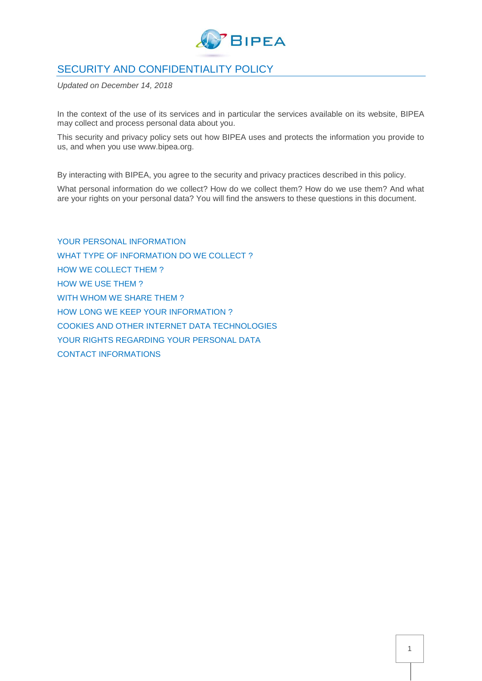

# SECURITY AND CONFIDENTIALITY POLICY

*Updated on December 14, 2018*

In the context of the use of its services and in particular the services available on its website, BIPEA may collect and process personal data about you.

This security and privacy policy sets out how BIPEA uses and protects the information you provide to us, and when you use www.bipea.org.

By interacting with BIPEA, you agree to the security and privacy practices described in this policy.

What personal information do we collect? How do we collect them? How do we use them? And what are your rights on your personal data? You will find the answers to these questions in this document.

[YOUR PERSONAL INFORMATION](#page-1-0) [WHAT TYPE OF INFORMATION DO WE COLLECT](#page-1-1)? [HOW WE COLLECT THEM ?](#page-1-2) [HOW WE USE THEM](#page-1-3)? [WITH WHOM WE SHARE THEM](#page-2-0) ? [HOW LONG WE KEEP YOUR INFORMATION](#page-2-1)? **COOKIES AND OTHER INTERNET DATA TECHNOLOGIES** YOUR RIGHTS REGARDING YOUR PERSONAL DATA **[CONTACT INFORMATIONS](#page-2-2)**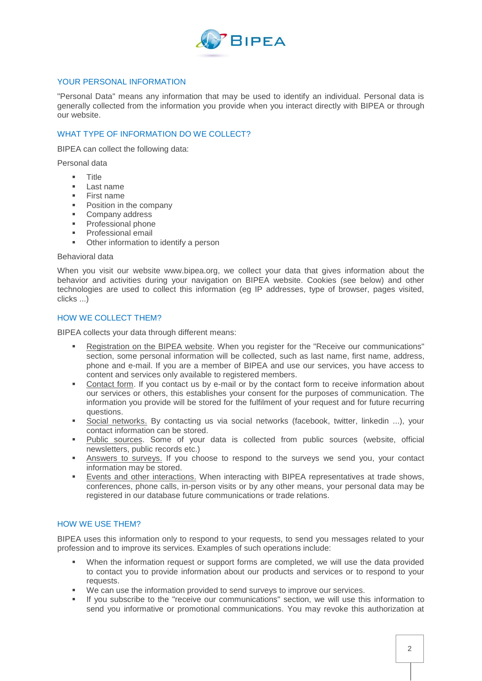

## <span id="page-1-0"></span>YOUR PERSONAL INFORMATION

"Personal Data" means any information that may be used to identify an individual. Personal data is generally collected from the information you provide when you interact directly with BIPEA or through our website.

## <span id="page-1-1"></span>WHAT TYPE OF INFORMATION DO WE COLLECT?

BIPEA can collect the following data:

Personal data

- **Title**
- Last name
- **First name**
- Position in the company
- **Company address**
- **Professional phone**
- **Professional email**
- **•** Other information to identify a person

#### Behavioral data

When you visit our website www.bipea.org, we collect your data that gives information about the behavior and activities during your navigation on BIPEA website. Cookies (see below) and other technologies are used to collect this information (eg IP addresses, type of browser, pages visited, clicks ...)

## <span id="page-1-2"></span>HOW WE COLLECT THEM?

BIPEA collects your data through different means:

- Registration on the BIPEA website. When you register for the "Receive our communications" section, some personal information will be collected, such as last name, first name, address, phone and e-mail. If you are a member of BIPEA and use our services, you have access to content and services only available to registered members.
- Contact form. If you contact us by e-mail or by the contact form to receive information about our services or others, this establishes your consent for the purposes of communication. The information you provide will be stored for the fulfilment of your request and for future recurring questions.
- Social networks. By contacting us via social networks (facebook, twitter, linkedin ...), your contact information can be stored.
- Public sources. Some of your data is collected from public sources (website, official newsletters, public records etc.)
- Answers to surveys. If you choose to respond to the surveys we send you, your contact information may be stored.
- Events and other interactions. When interacting with BIPEA representatives at trade shows, conferences, phone calls, in-person visits or by any other means, your personal data may be registered in our database future communications or trade relations.

### <span id="page-1-3"></span>HOW WE USE THEM?

BIPEA uses this information only to respond to your requests, to send you messages related to your profession and to improve its services. Examples of such operations include:

- When the information request or support forms are completed, we will use the data provided to contact you to provide information about our products and services or to respond to your requests.
- We can use the information provided to send surveys to improve our services.
- If you subscribe to the "receive our communications" section, we will use this information to send you informative or promotional communications. You may revoke this authorization at